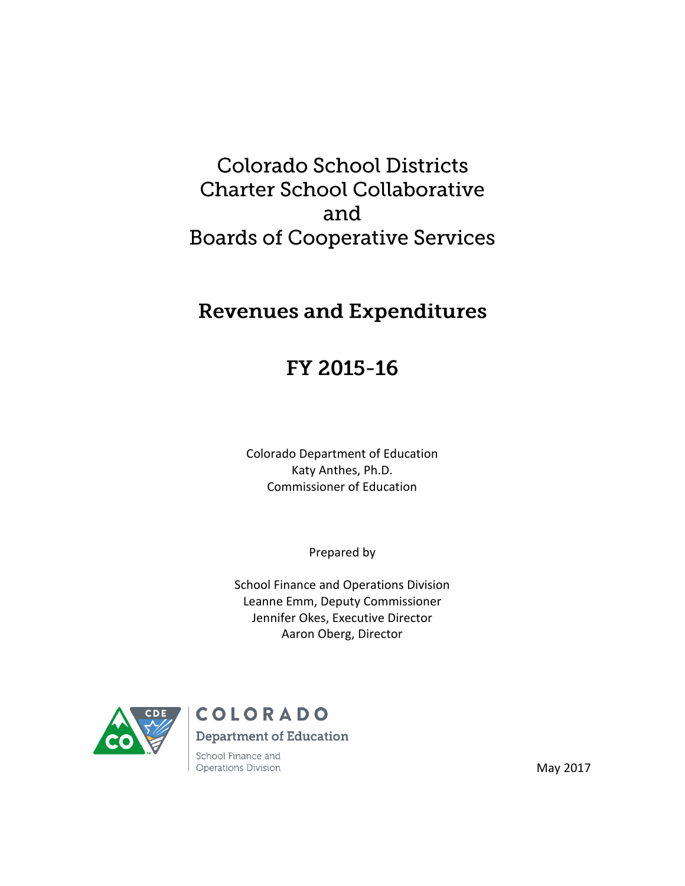# **Colorado School Districts Charter School Collaborative** and **Boards of Cooperative Services**

# **Revenues and Expenditures**

# FY 2015-16

Colorado Department of Education Katy Anthes, Ph.D. Commissioner of Education

Prepared by

School Finance and Operations Division Leanne Emm, Deputy Commissioner Jennifer Okes, Executive Director Aaron Oberg, Director



# COLORADO

**Department of Education** 

School Finance and Operations Division

May 2017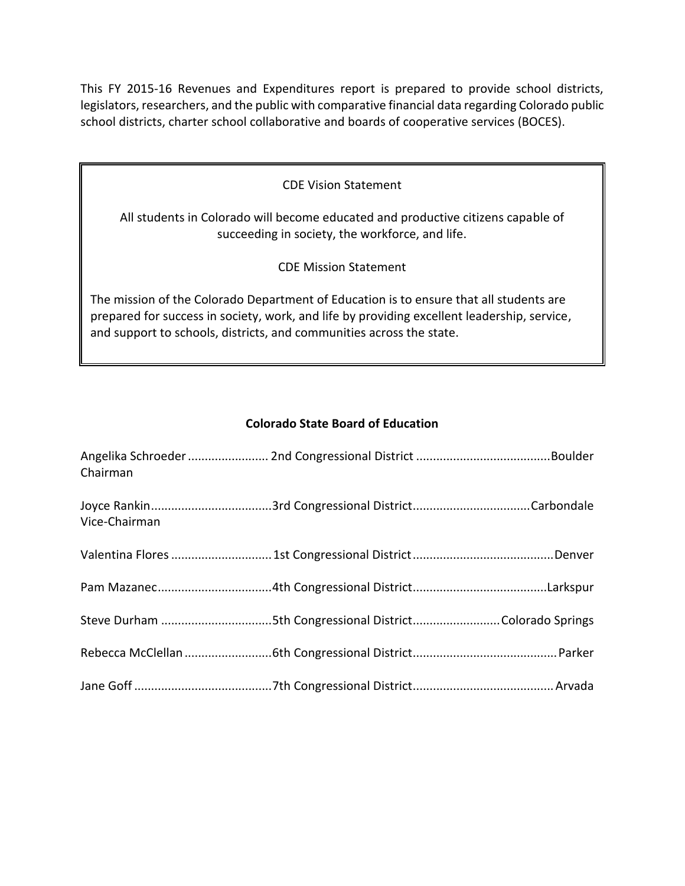This FY 2015-16 Revenues and Expenditures report is prepared to provide school districts, legislators, researchers, and the public with comparative financial data regarding Colorado public school districts, charter school collaborative and boards of cooperative services (BOCES).

| <b>CDE Vision Statement</b> |  |
|-----------------------------|--|
|-----------------------------|--|

All students in Colorado will become educated and productive citizens capable of succeeding in society, the workforce, and life.

CDE Mission Statement

The mission of the Colorado Department of Education is to ensure that all students are prepared for success in society, work, and life by providing excellent leadership, service, and support to schools, districts, and communities across the state.

# **Colorado State Board of Education**

| Chairman      |  |
|---------------|--|
| Vice-Chairman |  |
|               |  |
|               |  |
|               |  |
|               |  |
|               |  |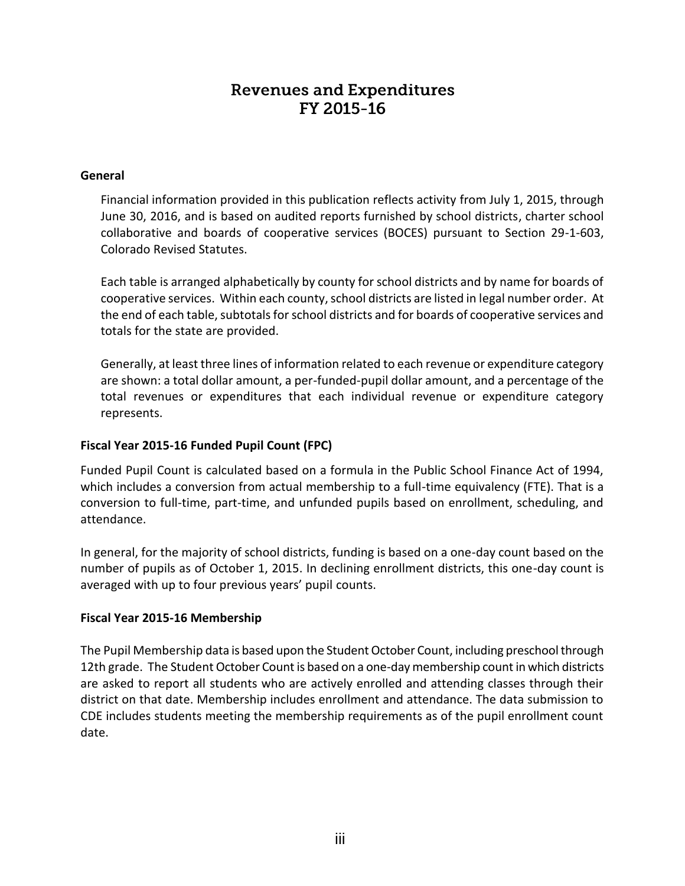# **Revenues and Expenditures** FY 2015-16

### **General**

Financial information provided in this publication reflects activity from July 1, 2015, through June 30, 2016, and is based on audited reports furnished by school districts, charter school collaborative and boards of cooperative services (BOCES) pursuant to Section 29-1-603, Colorado Revised Statutes.

Each table is arranged alphabetically by county for school districts and by name for boards of cooperative services. Within each county, school districts are listed in legal number order. At the end of each table, subtotals for school districts and for boards of cooperative services and totals for the state are provided.

Generally, at least three lines of information related to each revenue or expenditure category are shown: a total dollar amount, a per-funded-pupil dollar amount, and a percentage of the total revenues or expenditures that each individual revenue or expenditure category represents.

# **Fiscal Year 2015-16 Funded Pupil Count (FPC)**

Funded Pupil Count is calculated based on a formula in the Public School Finance Act of 1994, which includes a conversion from actual membership to a full-time equivalency (FTE). That is a conversion to full-time, part-time, and unfunded pupils based on enrollment, scheduling, and attendance.

In general, for the majority of school districts, funding is based on a one-day count based on the number of pupils as of October 1, 2015. In declining enrollment districts, this one-day count is averaged with up to four previous years' pupil counts.

### **Fiscal Year 2015-16 Membership**

The Pupil Membership data is based upon the Student October Count, including preschool through 12th grade. The Student October Count is based on a one-day membership count in which districts are asked to report all students who are actively enrolled and attending classes through their district on that date. Membership includes enrollment and attendance. The data submission to CDE includes students meeting the membership requirements as of the pupil enrollment count date.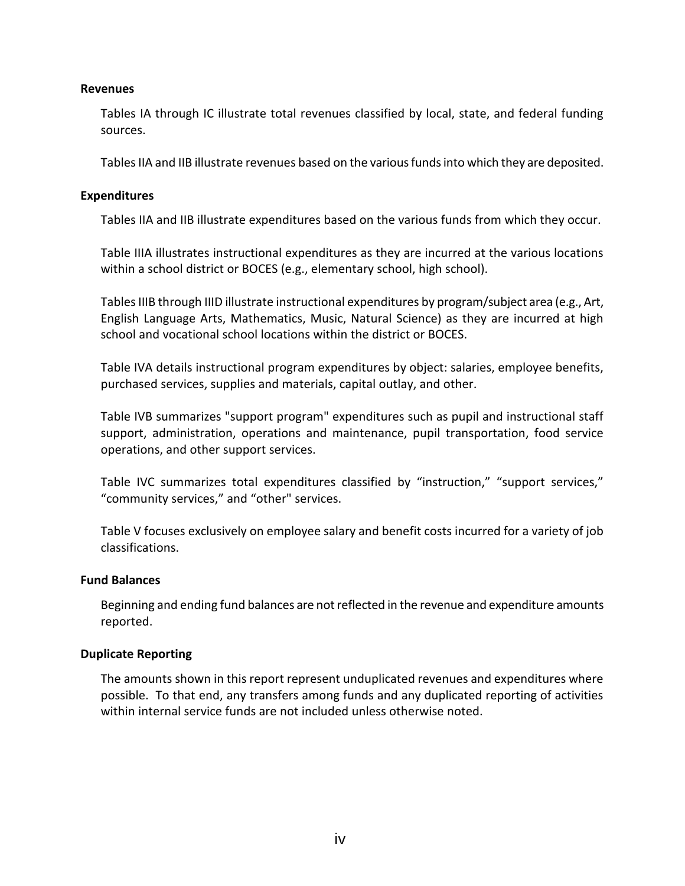#### **Revenues**

Tables IA through IC illustrate total revenues classified by local, state, and federal funding sources.

Tables IIA and IIB illustrate revenues based on the various funds into which they are deposited.

#### **Expenditures**

Tables IIA and IIB illustrate expenditures based on the various funds from which they occur.

Table IIIA illustrates instructional expenditures as they are incurred at the various locations within a school district or BOCES (e.g., elementary school, high school).

Tables IIIB through IIID illustrate instructional expenditures by program/subject area (e.g., Art, English Language Arts, Mathematics, Music, Natural Science) as they are incurred at high school and vocational school locations within the district or BOCES.

Table IVA details instructional program expenditures by object: salaries, employee benefits, purchased services, supplies and materials, capital outlay, and other.

Table IVB summarizes "support program" expenditures such as pupil and instructional staff support, administration, operations and maintenance, pupil transportation, food service operations, and other support services.

Table IVC summarizes total expenditures classified by "instruction," "support services," "community services," and "other" services.

Table V focuses exclusively on employee salary and benefit costs incurred for a variety of job classifications.

### **Fund Balances**

Beginning and ending fund balances are not reflected in the revenue and expenditure amounts reported.

### **Duplicate Reporting**

The amounts shown in this report represent unduplicated revenues and expenditures where possible. To that end, any transfers among funds and any duplicated reporting of activities within internal service funds are not included unless otherwise noted.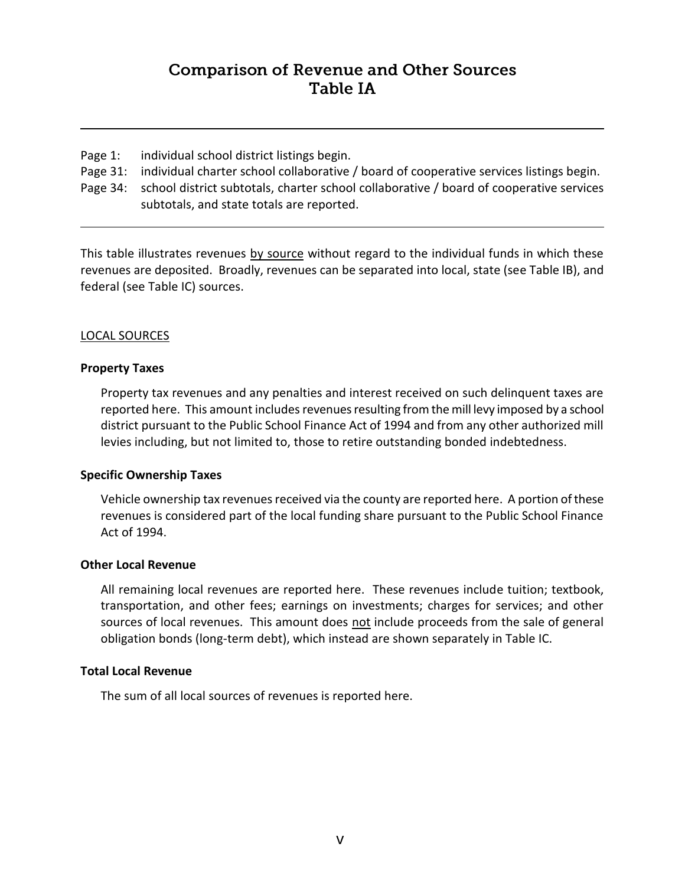# **Comparison of Revenue and Other Sources Table IA**

- Page 1: individual school district listings begin.
- Page 31: individual charter school collaborative / board of cooperative services listings begin.
- Page 34: school district subtotals, charter school collaborative / board of cooperative services subtotals, and state totals are reported.

This table illustrates revenues by source without regard to the individual funds in which these revenues are deposited. Broadly, revenues can be separated into local, state (see Table IB), and federal (see Table IC) sources.

# LOCAL SOURCES

### **Property Taxes**

Property tax revenues and any penalties and interest received on such delinquent taxes are reported here. This amount includes revenues resulting from the mill levy imposed by a school district pursuant to the Public School Finance Act of 1994 and from any other authorized mill levies including, but not limited to, those to retire outstanding bonded indebtedness.

### **Specific Ownership Taxes**

Vehicle ownership tax revenues received via the county are reported here. A portion of these revenues is considered part of the local funding share pursuant to the Public School Finance Act of 1994.

### **Other Local Revenue**

All remaining local revenues are reported here. These revenues include tuition; textbook, transportation, and other fees; earnings on investments; charges for services; and other sources of local revenues. This amount does not include proceeds from the sale of general obligation bonds (long-term debt), which instead are shown separately in Table IC.

### **Total Local Revenue**

The sum of all local sources of revenues is reported here.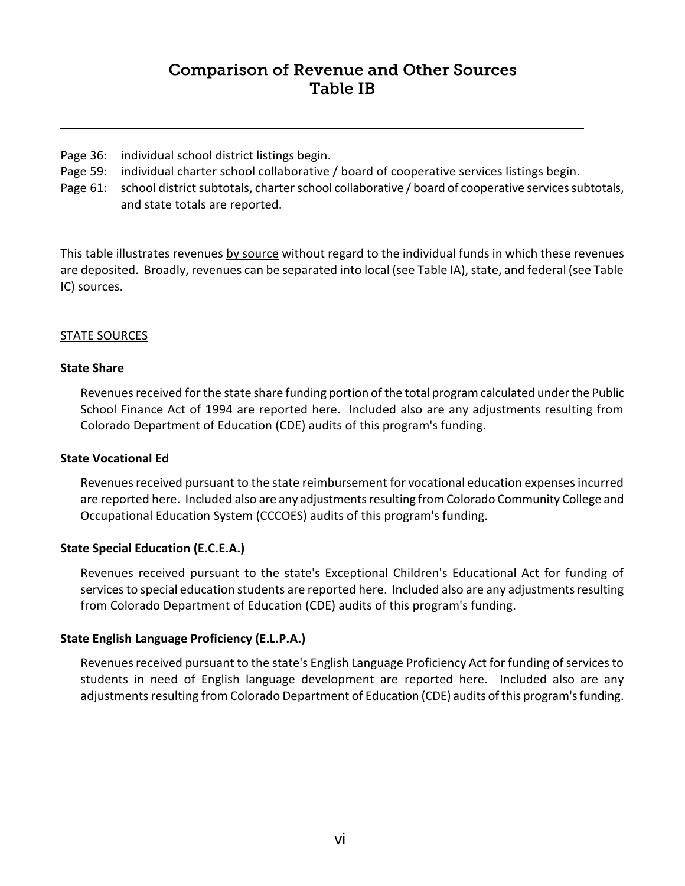# **Comparison of Revenue and Other Sources Table IB**

- Page 36: individual school district listings begin.
- Page 59: individual charter school collaborative / board of cooperative services listings begin.
- Page 61: school district subtotals, charter school collaborative / board of cooperative services subtotals, and state totals are reported.

This table illustrates revenues by source without regard to the individual funds in which these revenues are deposited. Broadly, revenues can be separated into local (see Table IA), state, and federal (see Table IC) sources.

# STATE SOURCES

### **State Share**

Revenues received for the state share funding portion of the total program calculated under the Public School Finance Act of 1994 are reported here. Included also are any adjustments resulting from Colorado Department of Education (CDE) audits of this program's funding.

### **State Vocational Ed**

Revenues received pursuant to the state reimbursement for vocational education expenses incurred are reported here. Included also are any adjustments resulting from Colorado Community College and Occupational Education System (CCCOES) audits of this program's funding.

### **State Special Education (E.C.E.A.)**

Revenues received pursuant to the state's Exceptional Children's Educational Act for funding of services to special education students are reported here. Included also are any adjustments resulting from Colorado Department of Education (CDE) audits of this program's funding.

### **State English Language Proficiency (E.L.P.A.)**

Revenues received pursuant to the state's English Language Proficiency Act for funding of services to students in need of English language development are reported here. Included also are any adjustments resulting from Colorado Department of Education (CDE) audits of this program's funding.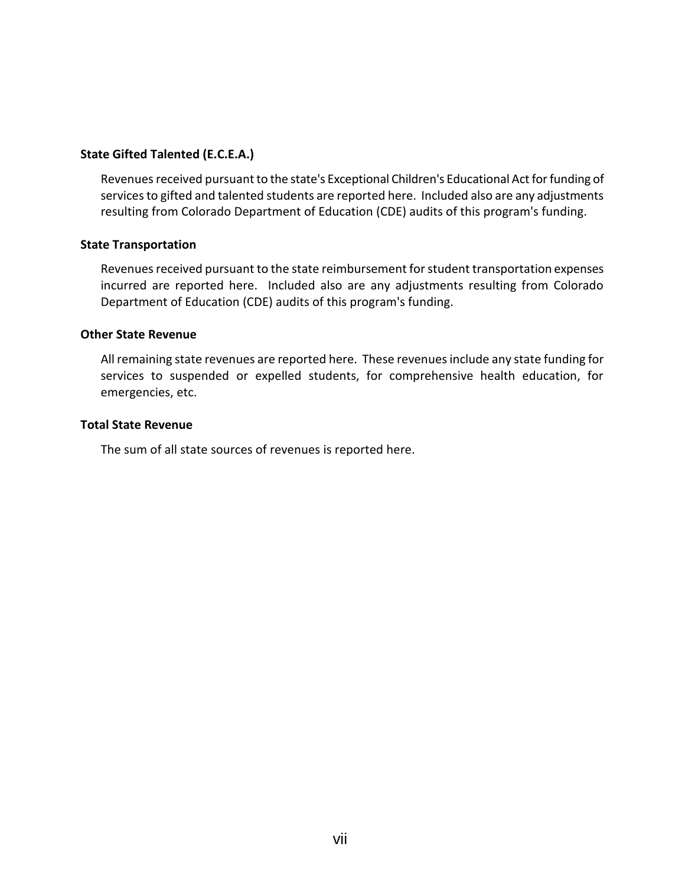### **State Gifted Talented (E.C.E.A.)**

Revenues received pursuant to the state's Exceptional Children's Educational Act for funding of services to gifted and talented students are reported here. Included also are any adjustments resulting from Colorado Department of Education (CDE) audits of this program's funding.

#### **State Transportation**

Revenues received pursuant to the state reimbursement for student transportation expenses incurred are reported here. Included also are any adjustments resulting from Colorado Department of Education (CDE) audits of this program's funding.

#### **Other State Revenue**

All remaining state revenues are reported here. These revenues include any state funding for services to suspended or expelled students, for comprehensive health education, for emergencies, etc.

#### **Total State Revenue**

The sum of all state sources of revenues is reported here.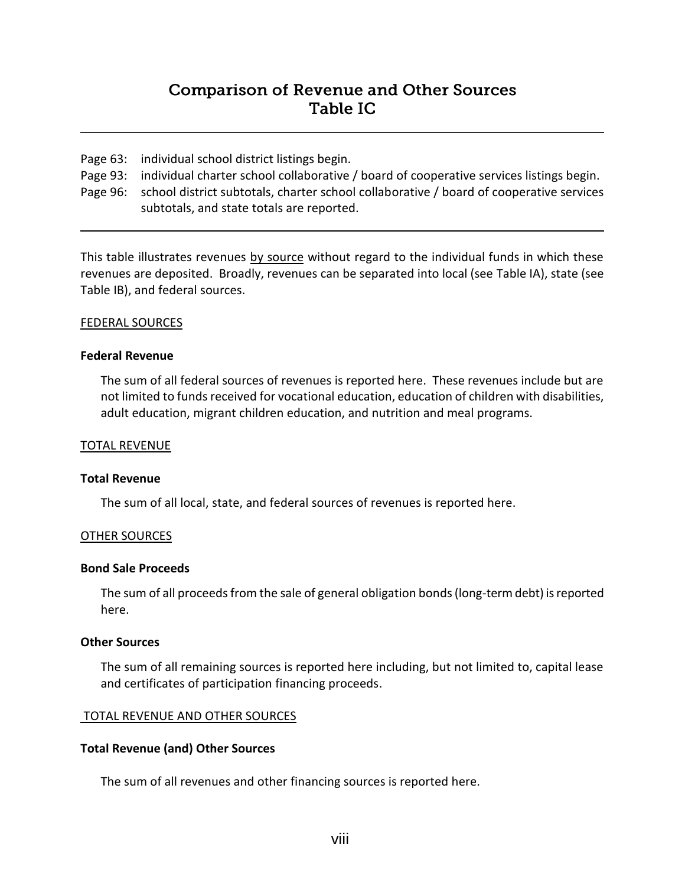# **Comparison of Revenue and Other Sources** Table IC

- Page 63: individual school district listings begin.
- Page 93: individual charter school collaborative / board of cooperative services listings begin.
- Page 96: school district subtotals, charter school collaborative / board of cooperative services subtotals, and state totals are reported.

This table illustrates revenues by source without regard to the individual funds in which these revenues are deposited. Broadly, revenues can be separated into local (see Table IA), state (see Table IB), and federal sources.

#### FEDERAL SOURCES

#### **Federal Revenue**

The sum of all federal sources of revenues is reported here. These revenues include but are not limited to funds received for vocational education, education of children with disabilities, adult education, migrant children education, and nutrition and meal programs.

#### TOTAL REVENUE

#### **Total Revenue**

The sum of all local, state, and federal sources of revenues is reported here.

#### OTHER SOURCES

#### **Bond Sale Proceeds**

The sum of all proceeds from the sale of general obligation bonds (long-term debt) is reported here.

#### **Other Sources**

The sum of all remaining sources is reported here including, but not limited to, capital lease and certificates of participation financing proceeds.

#### TOTAL REVENUE AND OTHER SOURCES

#### **Total Revenue (and) Other Sources**

The sum of all revenues and other financing sources is reported here.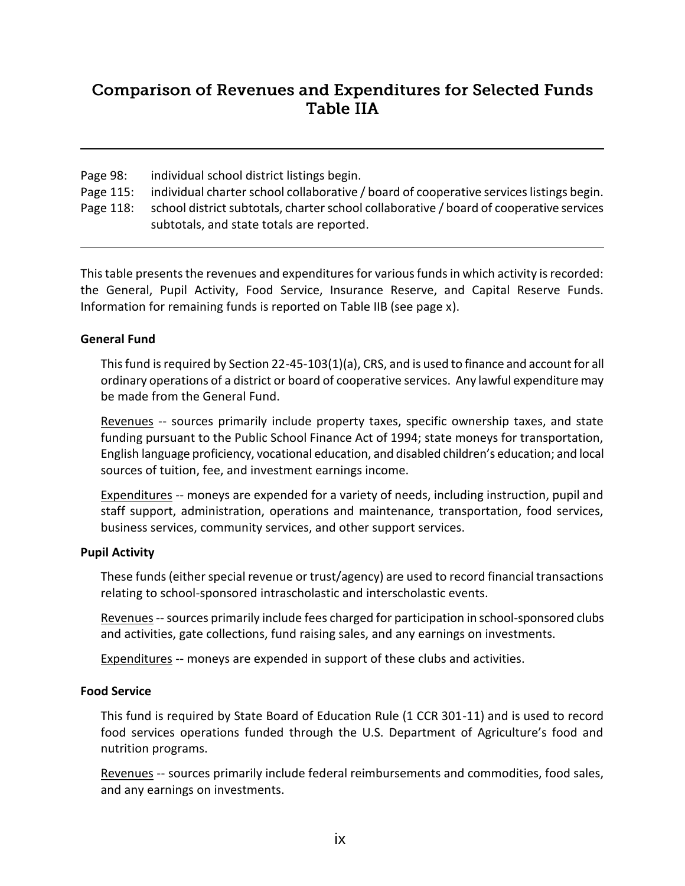# **Comparison of Revenues and Expenditures for Selected Funds Table IIA**

Page 98: individual school district listings begin.

- Page 115: individual charter school collaborative / board of cooperative services listings begin.
- Page 118: school district subtotals, charter school collaborative / board of cooperative services subtotals, and state totals are reported.

This table presents the revenues and expenditures for various funds in which activity is recorded: the General, Pupil Activity, Food Service, Insurance Reserve, and Capital Reserve Funds. Information for remaining funds is reported on Table IIB (see page x).

# **General Fund**

This fund is required by Section 22-45-103(1)(a), CRS, and is used to finance and account for all ordinary operations of a district or board of cooperative services. Any lawful expenditure may be made from the General Fund.

Revenues -- sources primarily include property taxes, specific ownership taxes, and state funding pursuant to the Public School Finance Act of 1994; state moneys for transportation, English language proficiency, vocational education, and disabled children's education; and local sources of tuition, fee, and investment earnings income.

Expenditures -- moneys are expended for a variety of needs, including instruction, pupil and staff support, administration, operations and maintenance, transportation, food services, business services, community services, and other support services.

### **Pupil Activity**

These funds (either special revenue or trust/agency) are used to record financial transactions relating to school-sponsored intrascholastic and interscholastic events.

Revenues--sources primarily include fees charged for participation in school-sponsored clubs and activities, gate collections, fund raising sales, and any earnings on investments.

Expenditures -- moneys are expended in support of these clubs and activities.

# **Food Service**

This fund is required by State Board of Education Rule (1 CCR 301-11) and is used to record food services operations funded through the U.S. Department of Agriculture's food and nutrition programs.

Revenues -- sources primarily include federal reimbursements and commodities, food sales, and any earnings on investments.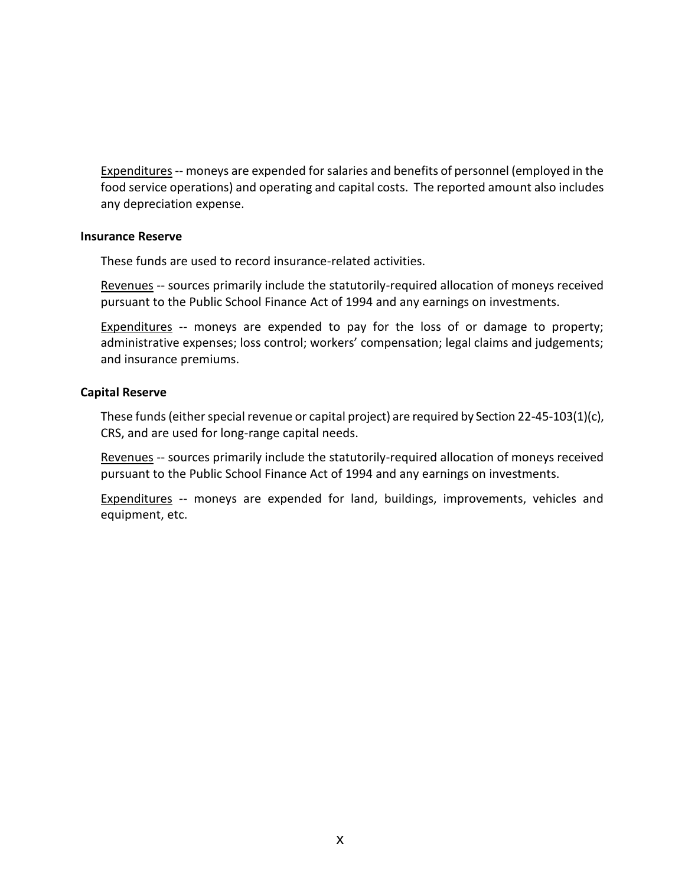Expenditures-- moneys are expended for salaries and benefits of personnel (employed in the food service operations) and operating and capital costs. The reported amount also includes any depreciation expense.

#### **Insurance Reserve**

These funds are used to record insurance-related activities.

Revenues -- sources primarily include the statutorily-required allocation of moneys received pursuant to the Public School Finance Act of 1994 and any earnings on investments.

Expenditures -- moneys are expended to pay for the loss of or damage to property; administrative expenses; loss control; workers' compensation; legal claims and judgements; and insurance premiums.

#### **Capital Reserve**

These funds (either special revenue or capital project) are required by Section 22-45-103(1)(c), CRS, and are used for long-range capital needs.

Revenues -- sources primarily include the statutorily-required allocation of moneys received pursuant to the Public School Finance Act of 1994 and any earnings on investments.

Expenditures -- moneys are expended for land, buildings, improvements, vehicles and equipment, etc.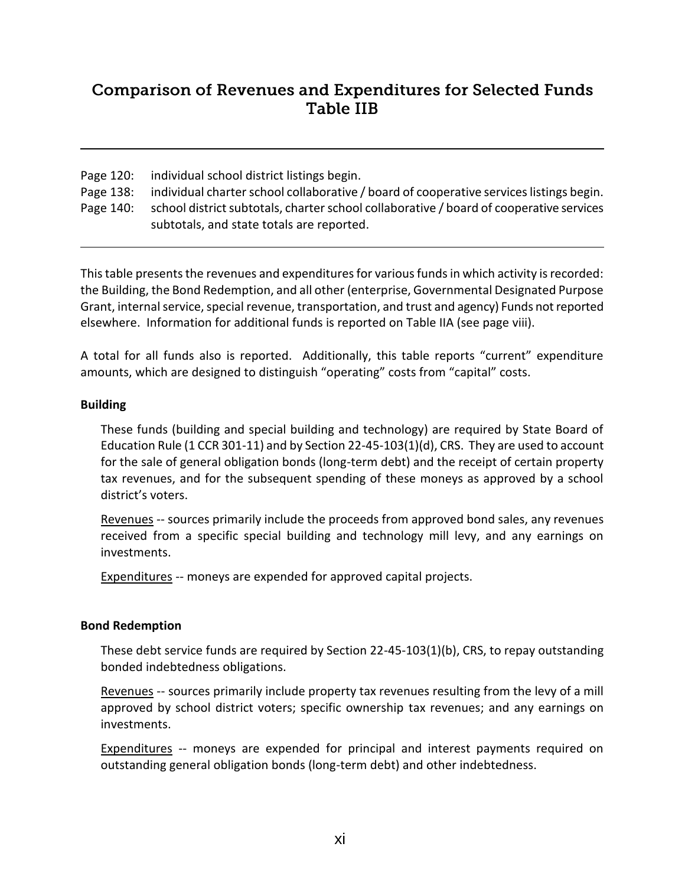# **Comparison of Revenues and Expenditures for Selected Funds** Table IIB

Page 120: individual school district listings begin.

Page 138: individual charter school collaborative / board of cooperative services listings begin.

Page 140: school district subtotals, charter school collaborative / board of cooperative services subtotals, and state totals are reported.

This table presents the revenues and expenditures for various funds in which activity is recorded: the Building, the Bond Redemption, and all other (enterprise, Governmental Designated Purpose Grant, internal service, special revenue, transportation, and trust and agency) Funds not reported elsewhere. Information for additional funds is reported on Table IIA (see page viii).

A total for all funds also is reported. Additionally, this table reports "current" expenditure amounts, which are designed to distinguish "operating" costs from "capital" costs.

# **Building**

These funds (building and special building and technology) are required by State Board of Education Rule (1 CCR 301-11) and by Section 22-45-103(1)(d), CRS. They are used to account for the sale of general obligation bonds (long-term debt) and the receipt of certain property tax revenues, and for the subsequent spending of these moneys as approved by a school district's voters.

Revenues -- sources primarily include the proceeds from approved bond sales, any revenues received from a specific special building and technology mill levy, and any earnings on investments.

**Expenditures** -- moneys are expended for approved capital projects.

### **Bond Redemption**

These debt service funds are required by Section 22-45-103(1)(b), CRS, to repay outstanding bonded indebtedness obligations.

Revenues -- sources primarily include property tax revenues resulting from the levy of a mill approved by school district voters; specific ownership tax revenues; and any earnings on investments.

**Expenditures** -- moneys are expended for principal and interest payments required on outstanding general obligation bonds (long-term debt) and other indebtedness.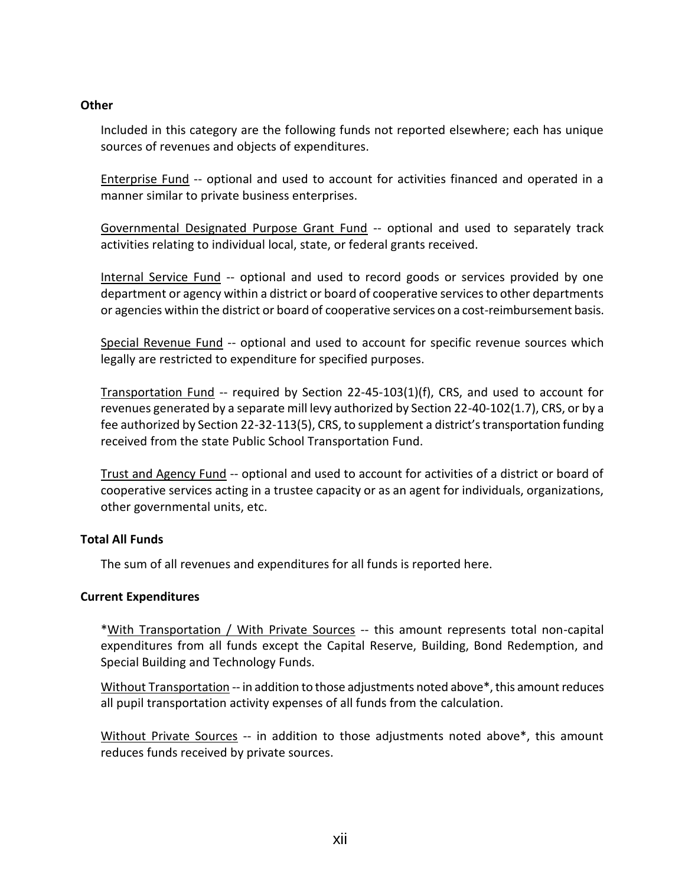### **Other**

Included in this category are the following funds not reported elsewhere; each has unique sources of revenues and objects of expenditures.

Enterprise Fund -- optional and used to account for activities financed and operated in a manner similar to private business enterprises.

Governmental Designated Purpose Grant Fund -- optional and used to separately track activities relating to individual local, state, or federal grants received.

Internal Service Fund -- optional and used to record goods or services provided by one department or agency within a district or board of cooperative services to other departments or agencies within the district or board of cooperative services on a cost-reimbursement basis.

Special Revenue Fund -- optional and used to account for specific revenue sources which legally are restricted to expenditure for specified purposes.

Transportation Fund -- required by Section 22-45-103(1)(f), CRS, and used to account for revenues generated by a separate mill levy authorized by Section 22-40-102(1.7), CRS, or by a fee authorized by Section 22-32-113(5), CRS, to supplement a district's transportation funding received from the state Public School Transportation Fund.

Trust and Agency Fund -- optional and used to account for activities of a district or board of cooperative services acting in a trustee capacity or as an agent for individuals, organizations, other governmental units, etc.

### **Total All Funds**

The sum of all revenues and expenditures for all funds is reported here.

### **Current Expenditures**

\*With Transportation / With Private Sources -- this amount represents total non-capital expenditures from all funds except the Capital Reserve, Building, Bond Redemption, and Special Building and Technology Funds.

Without Transportation -- in addition to those adjustments noted above\*, this amount reduces all pupil transportation activity expenses of all funds from the calculation.

Without Private Sources -- in addition to those adjustments noted above\*, this amount reduces funds received by private sources.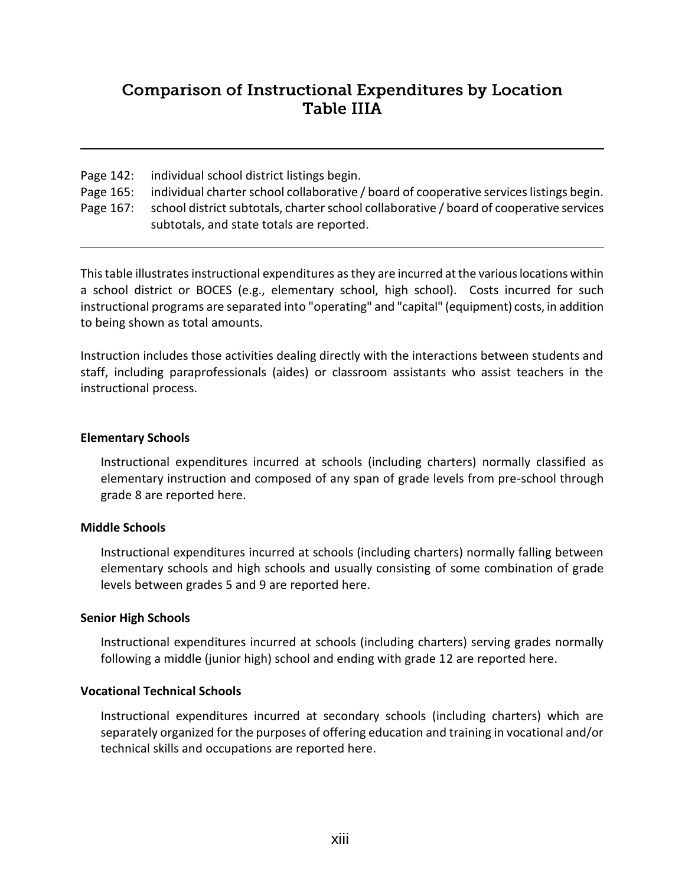# **Comparison of Instructional Expenditures by Location Table IIIA**

- Page 142: individual school district listings begin.
- Page 165: individual charter school collaborative / board of cooperative services listings begin.
- Page 167: school district subtotals, charter school collaborative / board of cooperative services subtotals, and state totals are reported.

This table illustrates instructional expenditures as they are incurred at the various locations within a school district or BOCES (e.g., elementary school, high school). Costs incurred for such instructional programs are separated into "operating" and "capital" (equipment) costs, in addition to being shown as total amounts.

Instruction includes those activities dealing directly with the interactions between students and staff, including paraprofessionals (aides) or classroom assistants who assist teachers in the instructional process.

# **Elementary Schools**

Instructional expenditures incurred at schools (including charters) normally classified as elementary instruction and composed of any span of grade levels from pre-school through grade 8 are reported here.

# **Middle Schools**

Instructional expenditures incurred at schools (including charters) normally falling between elementary schools and high schools and usually consisting of some combination of grade levels between grades 5 and 9 are reported here.

### **Senior High Schools**

Instructional expenditures incurred at schools (including charters) serving grades normally following a middle (junior high) school and ending with grade 12 are reported here.

### **Vocational Technical Schools**

Instructional expenditures incurred at secondary schools (including charters) which are separately organized for the purposes of offering education and training in vocational and/or technical skills and occupations are reported here.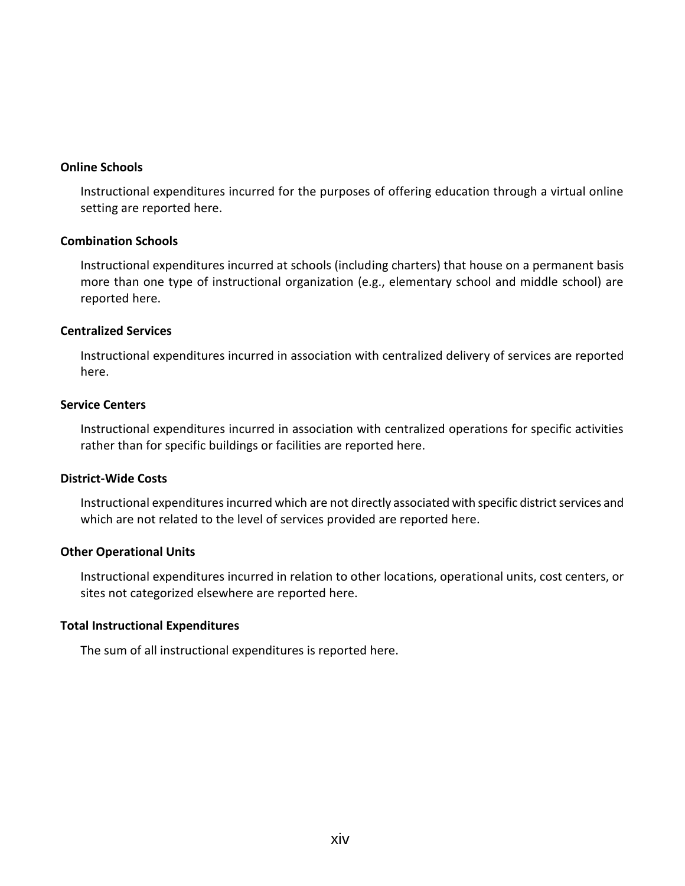#### **Online Schools**

Instructional expenditures incurred for the purposes of offering education through a virtual online setting are reported here.

#### **Combination Schools**

Instructional expenditures incurred at schools (including charters) that house on a permanent basis more than one type of instructional organization (e.g., elementary school and middle school) are reported here.

#### **Centralized Services**

Instructional expenditures incurred in association with centralized delivery of services are reported here.

#### **Service Centers**

Instructional expenditures incurred in association with centralized operations for specific activities rather than for specific buildings or facilities are reported here.

#### **District-Wide Costs**

Instructional expenditures incurred which are not directly associated with specific district services and which are not related to the level of services provided are reported here.

#### **Other Operational Units**

Instructional expenditures incurred in relation to other locations, operational units, cost centers, or sites not categorized elsewhere are reported here.

#### **Total Instructional Expenditures**

The sum of all instructional expenditures is reported here.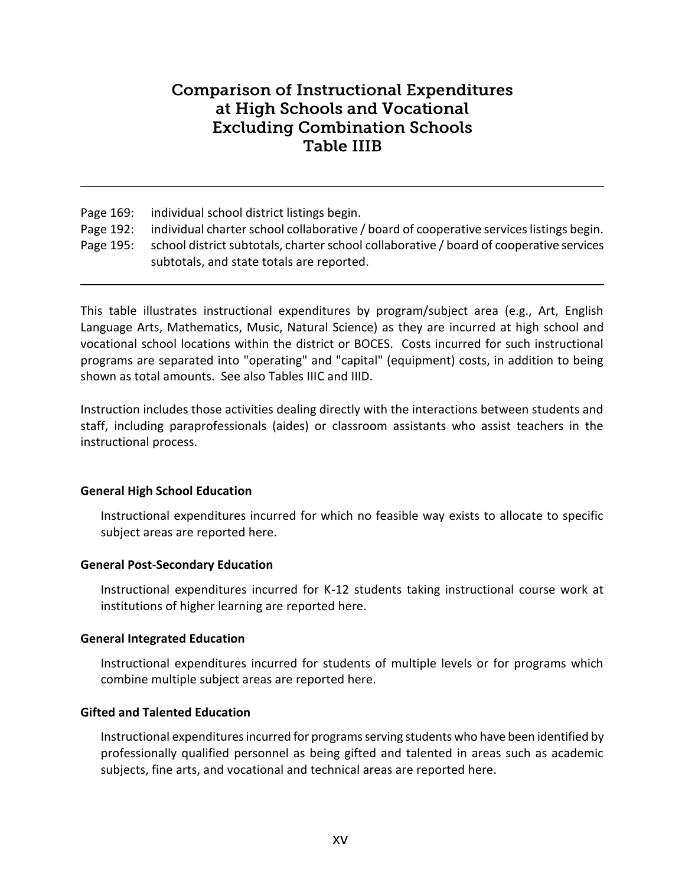# **Comparison of Instructional Expenditures** at High Schools and Vocational **Excluding Combination Schools Table IIIB**

Page 169: individual school district listings begin.

- Page 192: individual charter school collaborative / board of cooperative services listings begin.
- Page 195: school district subtotals, charter school collaborative / board of cooperative services subtotals, and state totals are reported.

This table illustrates instructional expenditures by program/subject area (e.g., Art, English Language Arts, Mathematics, Music, Natural Science) as they are incurred at high school and vocational school locations within the district or BOCES. Costs incurred for such instructional programs are separated into "operating" and "capital" (equipment) costs, in addition to being shown as total amounts. See also Tables IIIC and IIID.

Instruction includes those activities dealing directly with the interactions between students and staff, including paraprofessionals (aides) or classroom assistants who assist teachers in the instructional process.

### **General High School Education**

Instructional expenditures incurred for which no feasible way exists to allocate to specific subject areas are reported here.

### **General Post-Secondary Education**

Instructional expenditures incurred for K-12 students taking instructional course work at institutions of higher learning are reported here.

### **General Integrated Education**

Instructional expenditures incurred for students of multiple levels or for programs which combine multiple subject areas are reported here.

### **Gifted and Talented Education**

Instructional expenditures incurred for programs serving students who have been identified by professionally qualified personnel as being gifted and talented in areas such as academic subjects, fine arts, and vocational and technical areas are reported here.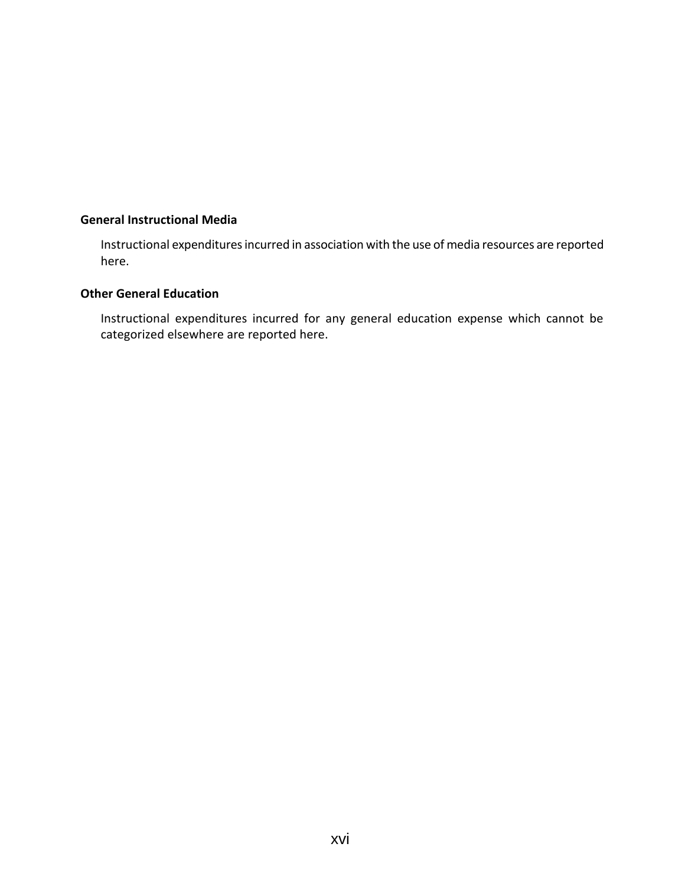### **General Instructional Media**

Instructional expenditures incurred in association with the use of media resources are reported here.

#### **Other General Education**

Instructional expenditures incurred for any general education expense which cannot be categorized elsewhere are reported here.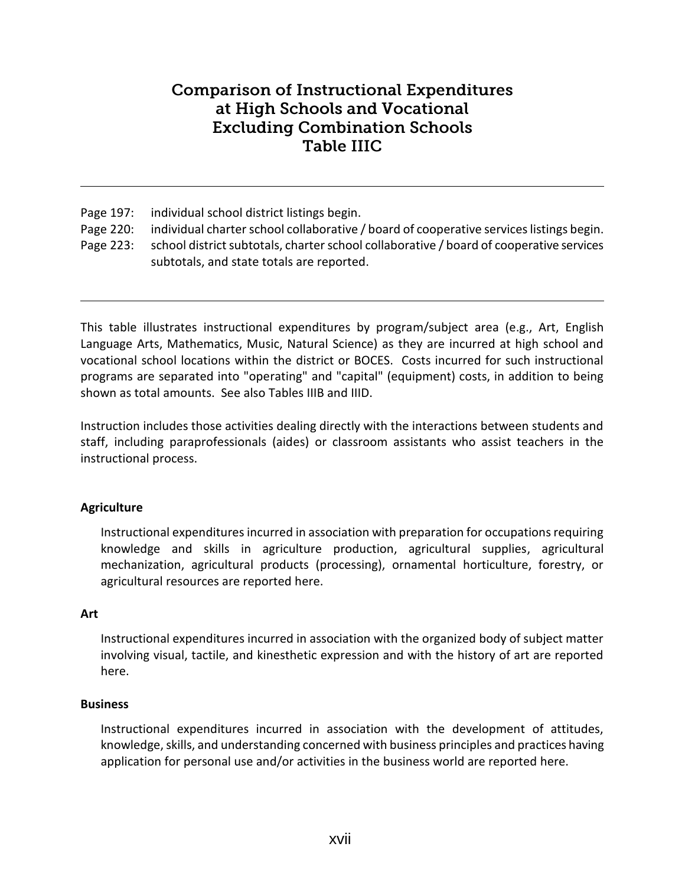# **Comparison of Instructional Expenditures** at High Schools and Vocational **Excluding Combination Schools** Table IIIC

Page 197: individual school district listings begin.

- Page 220: individual charter school collaborative / board of cooperative services listings begin.
- Page 223: school district subtotals, charter school collaborative / board of cooperative services subtotals, and state totals are reported.

This table illustrates instructional expenditures by program/subject area (e.g., Art, English Language Arts, Mathematics, Music, Natural Science) as they are incurred at high school and vocational school locations within the district or BOCES. Costs incurred for such instructional programs are separated into "operating" and "capital" (equipment) costs, in addition to being shown as total amounts. See also Tables IIIB and IIID.

Instruction includes those activities dealing directly with the interactions between students and staff, including paraprofessionals (aides) or classroom assistants who assist teachers in the instructional process.

# **Agriculture**

Instructional expenditures incurred in association with preparation for occupations requiring knowledge and skills in agriculture production, agricultural supplies, agricultural mechanization, agricultural products (processing), ornamental horticulture, forestry, or agricultural resources are reported here.

### **Art**

Instructional expenditures incurred in association with the organized body of subject matter involving visual, tactile, and kinesthetic expression and with the history of art are reported here.

### **Business**

Instructional expenditures incurred in association with the development of attitudes, knowledge, skills, and understanding concerned with business principles and practices having application for personal use and/or activities in the business world are reported here.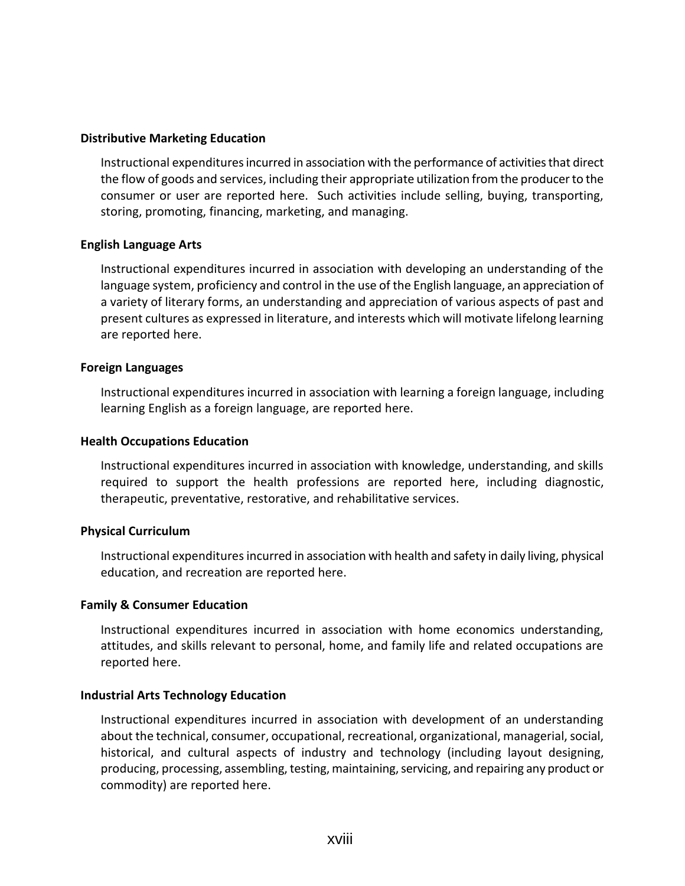#### **Distributive Marketing Education**

Instructional expenditures incurred in association with the performance of activities that direct the flow of goods and services, including their appropriate utilization from the producer to the consumer or user are reported here. Such activities include selling, buying, transporting, storing, promoting, financing, marketing, and managing.

#### **English Language Arts**

Instructional expenditures incurred in association with developing an understanding of the language system, proficiency and control in the use of the English language, an appreciation of a variety of literary forms, an understanding and appreciation of various aspects of past and present cultures as expressed in literature, and interests which will motivate lifelong learning are reported here.

#### **Foreign Languages**

Instructional expenditures incurred in association with learning a foreign language, including learning English as a foreign language, are reported here.

#### **Health Occupations Education**

Instructional expenditures incurred in association with knowledge, understanding, and skills required to support the health professions are reported here, including diagnostic, therapeutic, preventative, restorative, and rehabilitative services.

#### **Physical Curriculum**

Instructional expenditures incurred in association with health and safety in daily living, physical education, and recreation are reported here.

#### **Family & Consumer Education**

Instructional expenditures incurred in association with home economics understanding, attitudes, and skills relevant to personal, home, and family life and related occupations are reported here.

#### **Industrial Arts Technology Education**

Instructional expenditures incurred in association with development of an understanding about the technical, consumer, occupational, recreational, organizational, managerial, social, historical, and cultural aspects of industry and technology (including layout designing, producing, processing, assembling, testing, maintaining, servicing, and repairing any product or commodity) are reported here.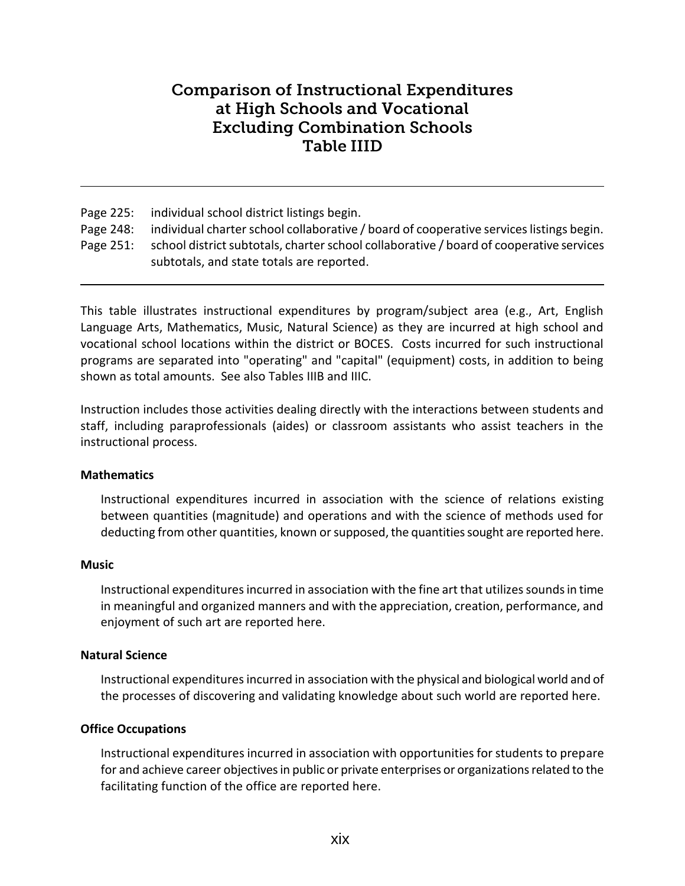# **Comparison of Instructional Expenditures** at High Schools and Vocational **Excluding Combination Schools Table IIID**

Page 225: individual school district listings begin. Page 248: individual charter school collaborative / board of cooperative services listings begin. Page 251: school district subtotals, charter school collaborative / board of cooperative services subtotals, and state totals are reported.

This table illustrates instructional expenditures by program/subject area (e.g., Art, English Language Arts, Mathematics, Music, Natural Science) as they are incurred at high school and vocational school locations within the district or BOCES. Costs incurred for such instructional programs are separated into "operating" and "capital" (equipment) costs, in addition to being shown as total amounts. See also Tables IIIB and IIIC.

Instruction includes those activities dealing directly with the interactions between students and staff, including paraprofessionals (aides) or classroom assistants who assist teachers in the instructional process.

### **Mathematics**

Instructional expenditures incurred in association with the science of relations existing between quantities (magnitude) and operations and with the science of methods used for deducting from other quantities, known or supposed, the quantities sought are reported here.

### **Music**

Instructional expenditures incurred in association with the fine art that utilizes sounds in time in meaningful and organized manners and with the appreciation, creation, performance, and enjoyment of such art are reported here.

### **Natural Science**

Instructional expenditures incurred in association with the physical and biological world and of the processes of discovering and validating knowledge about such world are reported here.

### **Office Occupations**

Instructional expenditures incurred in association with opportunities for students to prepare for and achieve career objectives in public or private enterprises or organizations related to the facilitating function of the office are reported here.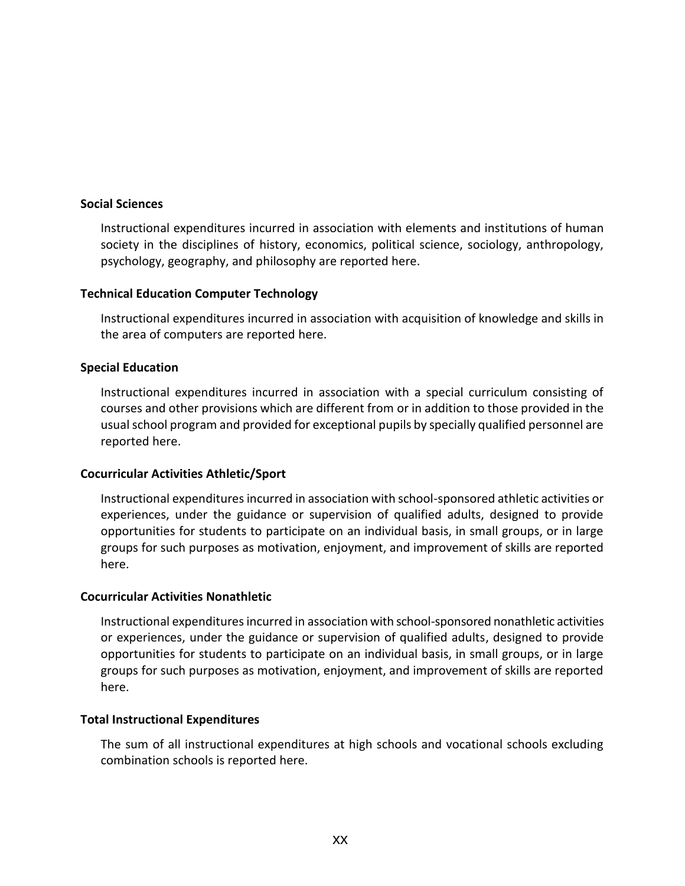#### **Social Sciences**

Instructional expenditures incurred in association with elements and institutions of human society in the disciplines of history, economics, political science, sociology, anthropology, psychology, geography, and philosophy are reported here.

### **Technical Education Computer Technology**

Instructional expenditures incurred in association with acquisition of knowledge and skills in the area of computers are reported here.

### **Special Education**

Instructional expenditures incurred in association with a special curriculum consisting of courses and other provisions which are different from or in addition to those provided in the usual school program and provided for exceptional pupils by specially qualified personnel are reported here.

### **Cocurricular Activities Athletic/Sport**

Instructional expenditures incurred in association with school-sponsored athletic activities or experiences, under the guidance or supervision of qualified adults, designed to provide opportunities for students to participate on an individual basis, in small groups, or in large groups for such purposes as motivation, enjoyment, and improvement of skills are reported here.

#### **Cocurricular Activities Nonathletic**

Instructional expenditures incurred in association with school-sponsored nonathletic activities or experiences, under the guidance or supervision of qualified adults, designed to provide opportunities for students to participate on an individual basis, in small groups, or in large groups for such purposes as motivation, enjoyment, and improvement of skills are reported here.

#### **Total Instructional Expenditures**

The sum of all instructional expenditures at high schools and vocational schools excluding combination schools is reported here.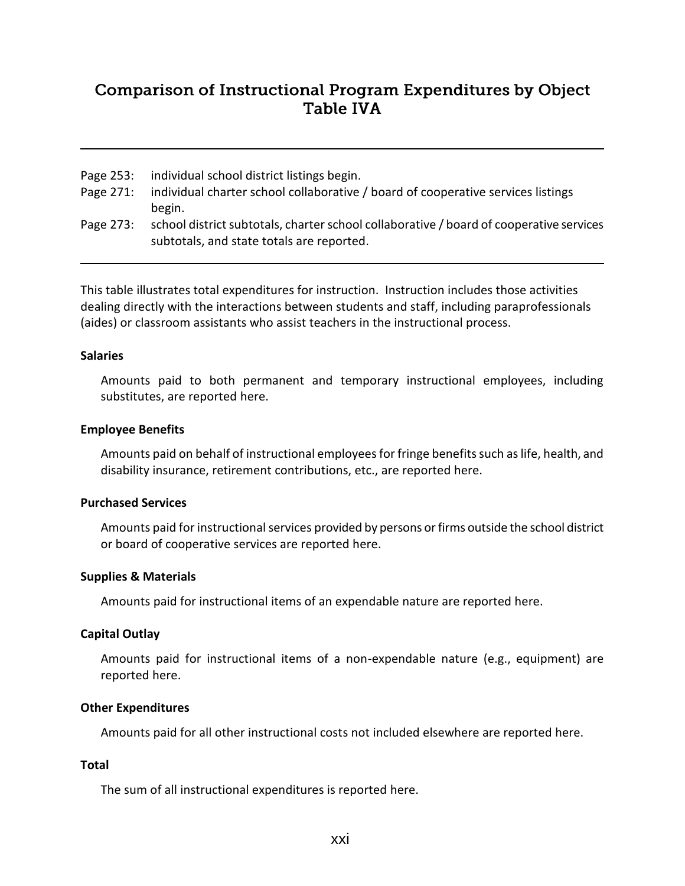# **Comparison of Instructional Program Expenditures by Object Table IVA**

- Page 253: individual school district listings begin.
- Page 271: individual charter school collaborative / board of cooperative services listings begin.
- Page 273: school district subtotals, charter school collaborative / board of cooperative services subtotals, and state totals are reported.

This table illustrates total expenditures for instruction. Instruction includes those activities dealing directly with the interactions between students and staff, including paraprofessionals (aides) or classroom assistants who assist teachers in the instructional process.

#### **Salaries**

Amounts paid to both permanent and temporary instructional employees, including substitutes, are reported here.

#### **Employee Benefits**

Amounts paid on behalf of instructional employees for fringe benefits such as life, health, and disability insurance, retirement contributions, etc., are reported here.

#### **Purchased Services**

Amounts paid for instructional services provided by persons or firms outside the school district or board of cooperative services are reported here.

### **Supplies & Materials**

Amounts paid for instructional items of an expendable nature are reported here.

### **Capital Outlay**

Amounts paid for instructional items of a non-expendable nature (e.g., equipment) are reported here.

### **Other Expenditures**

Amounts paid for all other instructional costs not included elsewhere are reported here.

# **Total**

The sum of all instructional expenditures is reported here.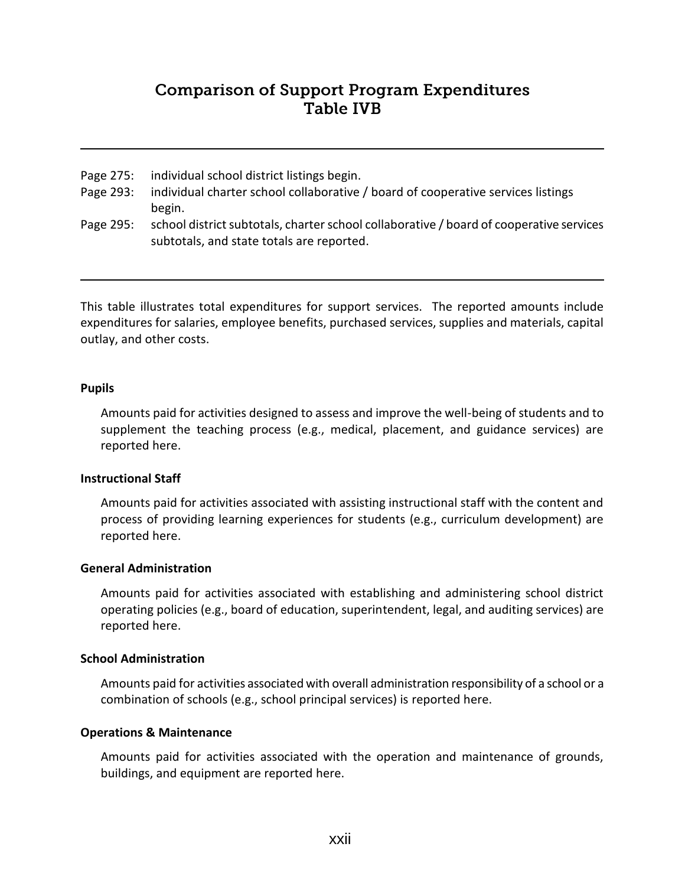# **Comparison of Support Program Expenditures Table IVB**

- Page 275: individual school district listings begin.
- Page 293: individual charter school collaborative / board of cooperative services listings begin.
- Page 295: school district subtotals, charter school collaborative / board of cooperative services subtotals, and state totals are reported.

This table illustrates total expenditures for support services. The reported amounts include expenditures for salaries, employee benefits, purchased services, supplies and materials, capital outlay, and other costs.

#### **Pupils**

Amounts paid for activities designed to assess and improve the well-being of students and to supplement the teaching process (e.g., medical, placement, and guidance services) are reported here.

### **Instructional Staff**

Amounts paid for activities associated with assisting instructional staff with the content and process of providing learning experiences for students (e.g., curriculum development) are reported here.

#### **General Administration**

Amounts paid for activities associated with establishing and administering school district operating policies (e.g., board of education, superintendent, legal, and auditing services) are reported here.

### **School Administration**

Amounts paid for activities associated with overall administration responsibility of a school or a combination of schools (e.g., school principal services) is reported here.

### **Operations & Maintenance**

Amounts paid for activities associated with the operation and maintenance of grounds, buildings, and equipment are reported here.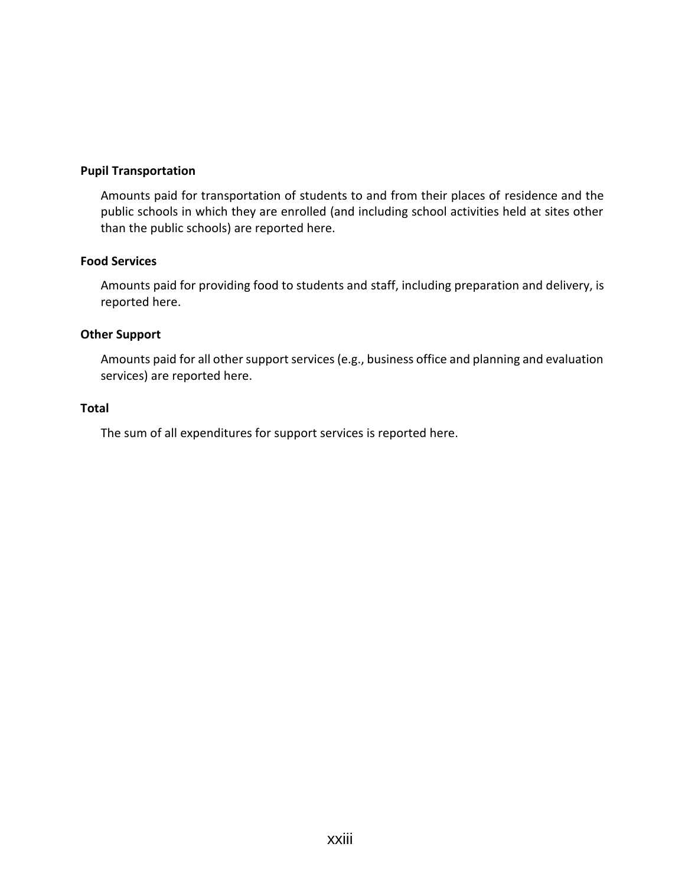#### **Pupil Transportation**

Amounts paid for transportation of students to and from their places of residence and the public schools in which they are enrolled (and including school activities held at sites other than the public schools) are reported here.

### **Food Services**

Amounts paid for providing food to students and staff, including preparation and delivery, is reported here.

### **Other Support**

Amounts paid for all other support services (e.g., business office and planning and evaluation services) are reported here.

#### **Total**

The sum of all expenditures for support services is reported here.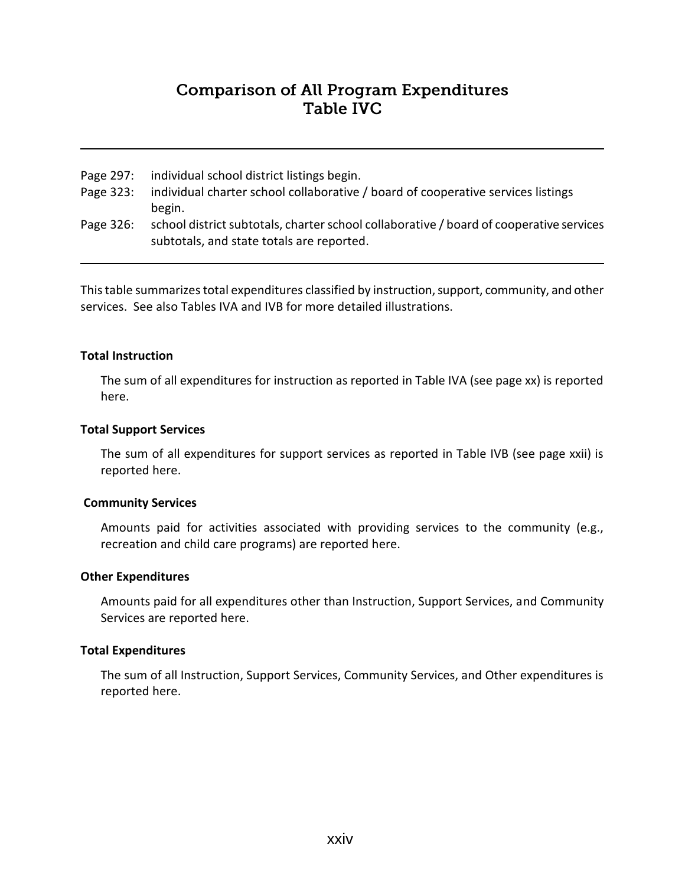# **Comparison of All Program Expenditures** Table IVC

- Page 297: individual school district listings begin.
- Page 323: individual charter school collaborative / board of cooperative services listings begin.
- Page 326: school district subtotals, charter school collaborative / board of cooperative services subtotals, and state totals are reported.

This table summarizes total expenditures classified by instruction, support, community, and other services. See also Tables IVA and IVB for more detailed illustrations.

#### **Total Instruction**

The sum of all expenditures for instruction as reported in Table IVA (see page xx) is reported here.

#### **Total Support Services**

The sum of all expenditures for support services as reported in Table IVB (see page xxii) is reported here.

#### **Community Services**

Amounts paid for activities associated with providing services to the community (e.g., recreation and child care programs) are reported here.

#### **Other Expenditures**

Amounts paid for all expenditures other than Instruction, Support Services, and Community Services are reported here.

#### **Total Expenditures**

The sum of all Instruction, Support Services, Community Services, and Other expenditures is reported here.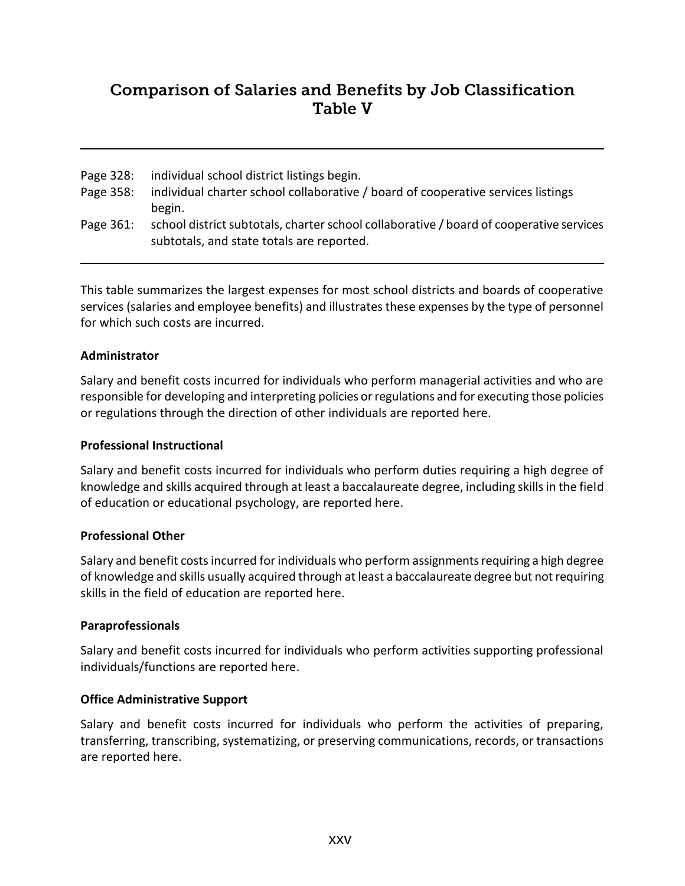# **Comparison of Salaries and Benefits by Job Classification Table V**

| Page 328: | individual school district listings begin.                                              |
|-----------|-----------------------------------------------------------------------------------------|
| Page 358: | individual charter school collaborative / board of cooperative services listings        |
|           | begin.                                                                                  |
| Page 361: | school district subtotals, charter school collaborative / board of cooperative services |
|           | subtotals, and state totals are reported.                                               |

This table summarizes the largest expenses for most school districts and boards of cooperative services (salaries and employee benefits) and illustrates these expenses by the type of personnel for which such costs are incurred.

# **Administrator**

Salary and benefit costs incurred for individuals who perform managerial activities and who are responsible for developing and interpreting policies or regulations and for executing those policies or regulations through the direction of other individuals are reported here.

### **Professional Instructional**

Salary and benefit costs incurred for individuals who perform duties requiring a high degree of knowledge and skills acquired through at least a baccalaureate degree, including skills in the field of education or educational psychology, are reported here.

### **Professional Other**

Salary and benefit costs incurred for individuals who perform assignments requiring a high degree of knowledge and skills usually acquired through at least a baccalaureate degree but not requiring skills in the field of education are reported here.

### **Paraprofessionals**

Salary and benefit costs incurred for individuals who perform activities supporting professional individuals/functions are reported here.

### **Office Administrative Support**

Salary and benefit costs incurred for individuals who perform the activities of preparing, transferring, transcribing, systematizing, or preserving communications, records, or transactions are reported here.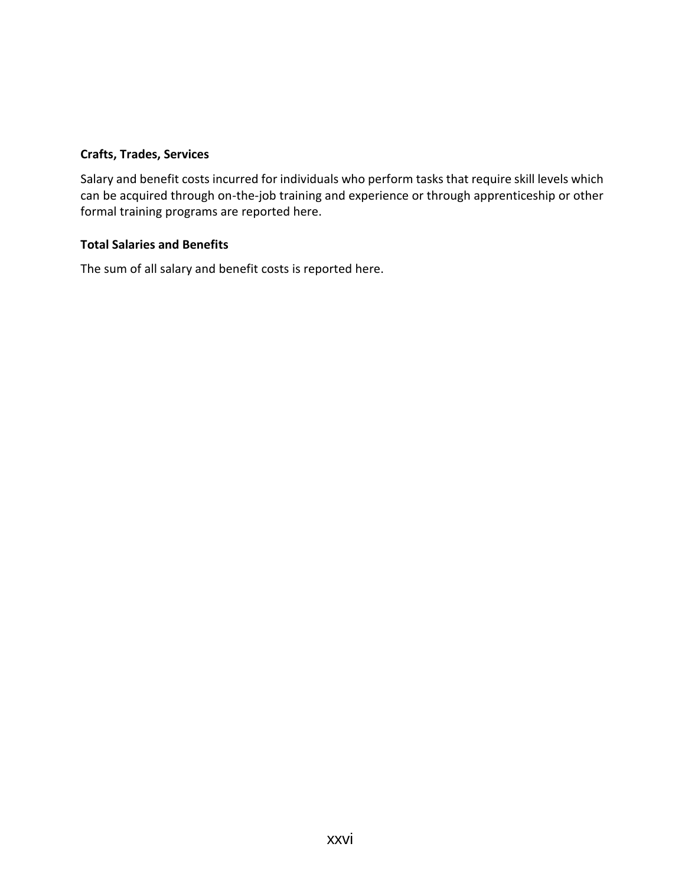# **Crafts, Trades, Services**

Salary and benefit costs incurred for individuals who perform tasks that require skill levels which can be acquired through on-the-job training and experience or through apprenticeship or other formal training programs are reported here.

### **Total Salaries and Benefits**

The sum of all salary and benefit costs is reported here.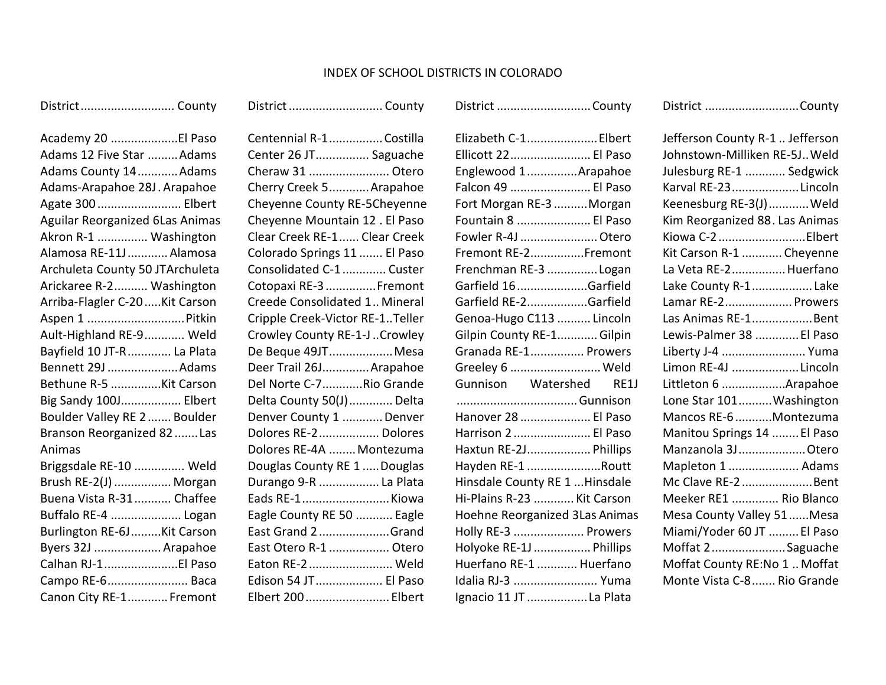# INDEX OF SCHOOL DISTRICTS IN COLORADO

District............................ County

| Academy 20 El Paso              |
|---------------------------------|
| Adams 12 Five Star Adams        |
| Adams County 14Adams            |
| Adams-Arapahoe 28J. Arapahoe    |
| Agate 300  Elbert               |
| Aguilar Reorganized 6Las Animas |
| Akron R-1  Washington           |
| Alamosa RE-11J  Alamosa         |
| Archuleta County 50 JTArchuleta |
| Arickaree R-2 Washington        |
| Arriba-Flagler C-20  Kit Carson |
| Aspen 1 Pitkin                  |
| Ault-Highland RE-9 Weld         |
| Bayfield 10 JT-R  La Plata      |
| Bennett 29J Adams               |
| Bethune R-5 Kit Carson          |
| Big Sandy 100J Elbert           |
| Boulder Valley RE 2  Boulder    |
| Branson Reorganized 82 Las      |
| Animas                          |
| Briggsdale RE-10  Weld          |
| Brush RE-2(J)  Morgan           |
| Buena Vista R-31 Chaffee        |
| Buffalo RE-4  Logan             |
| Burlington RE-6J  Kit Carson    |
| Byers 32J  Arapahoe             |
| Calhan RJ-1El Paso              |
| Campo RE-6 Baca                 |
| Canon City RE-1 Fremont         |

| Centennial R-1Costilla          |
|---------------------------------|
| Center 26 JT Saguache           |
| Cheraw 31  Otero                |
| Cherry Creek 5 Arapahoe         |
| Cheyenne County RE-5Cheyenne    |
| Cheyenne Mountain 12. El Paso   |
| Clear Creek RE-1  Clear Creek   |
| Colorado Springs 11  El Paso    |
| Consolidated C-1  Custer        |
| Cotopaxi RE-3  Fremont          |
| Creede Consolidated 1 Mineral   |
| Cripple Creek-Victor RE-1Teller |
| Crowley County RE-1-J  Crowley  |
| De Beque 49JT Mesa              |
| Deer Trail 26J Arapahoe         |
| Del Norte C-7Rio Grande         |
| Delta County 50(J)  Delta       |
| Denver County 1  Denver         |
| Dolores RE-2  Dolores           |
| Dolores RE-4A  Montezuma        |
| Douglas County RE 1  Douglas    |
| Durango 9-R  La Plata           |
| Eads RE-1 Kiowa                 |
| Eagle County RE 50  Eagle       |
| East Grand 2Grand               |
| East Otero R-1  Otero           |
| Eaton RE-2  Weld                |
| Edison 54 JT El Paso            |
| Elbert 200  Elbert              |

District............................... County

|                         | Elizabeth C-1 Elbert                        |
|-------------------------|---------------------------------------------|
|                         | Ellicott 22 El Paso                         |
|                         | Englewood 1Arapahoe                         |
|                         | Falcon 49  El Paso                          |
|                         | Fort Morgan RE-3 Morgan                     |
|                         | Fountain 8  El Paso                         |
|                         | Fowler R-4J  Otero                          |
|                         | Fremont RE-2Fremont                         |
|                         | Frenchman RE-3 Logan                        |
|                         | Garfield 16Garfield                         |
|                         | Garfield RE-2Garfield                       |
|                         | Genoa-Hugo C113  Lincoln                    |
|                         | Gilpin County RE-1Gilpin                    |
|                         | Granada RE-1 Prowers                        |
|                         | Greeley 6  Weld                             |
|                         | Gunnison Watershed RE1J                     |
|                         |                                             |
|                         | Hanover 28  El Paso                         |
|                         | Harrison 2  El Paso                         |
|                         | Haxtun RE-2J Phillips                       |
|                         | Hayden RE-1 Routt                           |
|                         | Hinsdale County RE 1  Hinsdale              |
|                         | Hi-Plains R-23  Kit Carson                  |
|                         | Hoehne Reorganized 3Las Animas              |
|                         | Holly RE-3  Prowers                         |
|                         | Holyoke RE-1J  Phillips                     |
| Huerfano RE-1  Huerfano |                                             |
|                         |                                             |
|                         | Idalia RJ-3  Yuma<br>Ignacio 11 JT La Plata |

District ............................County

| District County |  |  |
|-----------------|--|--|
|-----------------|--|--|

| Jefferson County R-1  Jefferson |
|---------------------------------|
| Johnstown-Milliken RE-5J Weld   |
| Julesburg RE-1  Sedgwick        |
| Karval RE-23Lincoln             |
| Keenesburg RE-3(J)Weld          |
| Kim Reorganized 88. Las Animas  |
| Kiowa C-2Elbert                 |
| Kit Carson R-1  Cheyenne        |
| La Veta RE-2 Huerfano           |
| Lake County R-1 Lake            |
| Lamar RE-2 Prowers              |
| Las Animas RE-1Bent             |
| Lewis-Palmer 38  El Paso        |
| Liberty J-4  Yuma               |
| Limon RE-4J Lincoln             |
| Littleton 6 Arapahoe            |
| Lone Star 101 Washington        |
| Mancos RE-6 Montezuma           |
| Manitou Springs 14  El Paso     |
| Manzanola 3J Otero              |
| Mapleton 1  Adams               |
| Mc Clave RE-2Bent               |
| Meeker RE1  Rio Blanco          |
| Mesa County Valley 51Mesa       |
| Miami/Yoder 60 JT  El Paso      |
| Moffat 2Saguache                |
| Moffat County RE:No 1  Moffat   |
| Monte Vista C-8  Rio Grande     |